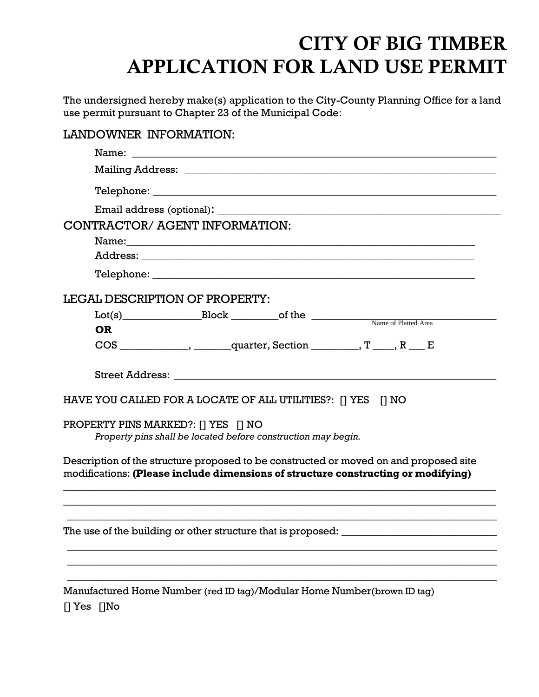## CITY OF BIG TIMBER APPLICATION FOR LAND USE PERMIT

The undersigned hereby make(s) application to the City-County Planning Office for a land use permit pursuant to Chapter 23 of the Municipal Code:

| LANDOWNER INFORMATION:                                                                                                                                                     |
|----------------------------------------------------------------------------------------------------------------------------------------------------------------------------|
|                                                                                                                                                                            |
|                                                                                                                                                                            |
|                                                                                                                                                                            |
|                                                                                                                                                                            |
| CONTRACTOR/ AGENT INFORMATION:                                                                                                                                             |
|                                                                                                                                                                            |
|                                                                                                                                                                            |
|                                                                                                                                                                            |
| LEGAL DESCRIPTION OF PROPERTY:                                                                                                                                             |
|                                                                                                                                                                            |
| <b>OR</b>                                                                                                                                                                  |
|                                                                                                                                                                            |
|                                                                                                                                                                            |
| HAVE YOU CALLED FOR A LOCATE OF ALL UTILITIES?: [] YES [] NO                                                                                                               |
| PROPERTY PINS MARKED?: [] YES [] NO                                                                                                                                        |
| Property pins shall be located before construction may begin.                                                                                                              |
| Description of the structure proposed to be constructed or moved on and proposed site<br>modifications: (Please include dimensions of structure constructing or modifying) |
|                                                                                                                                                                            |
| Manufactured Home Number (red ID tag)/Modular Home Number(brown ID tag)<br>$[] Yes$ $[] No$                                                                                |